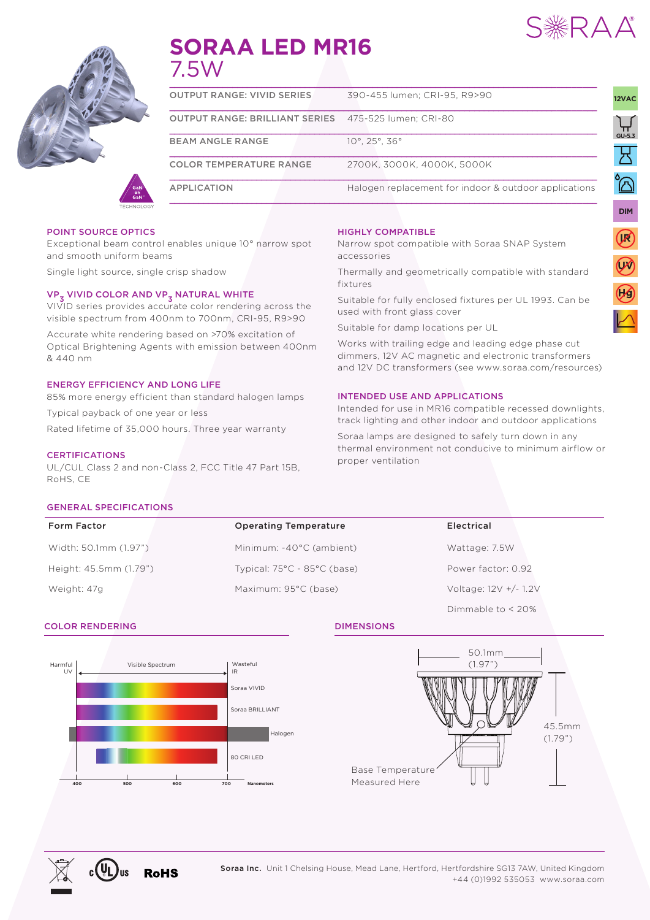

UNIVERSAL

**IR**

**UV**

**12VAC**

UNIVERSAL





# **SORAA LED MR16** 7.5W

| <b>APPLICATION</b>                    | Halogen replacement for indoor & outdoor applications |
|---------------------------------------|-------------------------------------------------------|
| <b>COLOR TEMPERATURE RANGE</b>        | 2700K. 3000K. 4000K. 5000K                            |
| <b>BEAM ANGLE RANGE</b>               | $10^{\circ}$ , 25 $^{\circ}$ , 36 $^{\circ}$          |
| <b>OUTPUT RANGE: BRILLIANT SERIES</b> | 475-525 lumen; CRI-80                                 |
| <b>OUTPUT RANGE: VIVID SERIES</b>     | 390-455 lumen: CRI-95, R9>90                          |
|                                       |                                                       |

#### POINT SOURCE OPTICS

Exceptional beam control enables unique 10° narrow spot and smooth uniform beams

Single light source, single crisp shadow

## VP<sub>3</sub> VIVID COLOR AND VP<sub>3</sub> NATURAL WHITE

VIVID series provides accurate color rendering across the visible spectrum from 400nm to 700nm, CRI-95, R9>90

Accurate white rendering based on >70% excitation of Optical Brightening Agents with emission between 400nm & 440 nm

#### ENERGY EFFICIENCY AND LONG LIFE

85% more energy efficient than standard halogen lamps Typical payback of one year or less

Rated lifetime of 35,000 hours. Three year warranty

#### CERTIFICATIONS

UL/CUL Class 2 and non-Class 2, FCC Title 47 Part 15B, RoHS, CE

#### HIGHLY COMPATIBLE

Narrow spot compatible with Soraa SNAP System accessories

Thermally and geometrically compatible with standard fixtures

Suitable for fully enclosed fixtures per UL 1993. Can be used with front glass cover

Suitable for damp locations per UL

Works with trailing edge and leading edge phase cut dimmers, 12V AC magnetic and electronic transformers and 12V DC transformers (see www.soraa.com/resources)

#### INTENDED USE AND APPLICATIONS

Intended for use in MR16 compatible recessed downlights, track lighting and other indoor and outdoor applications

Soraa lamps are designed to safely turn down in any thermal environment not conducive to minimum airflow or proper ventilation

#### GENERAL SPECIFICATIONS

| <b>Form Factor</b>     | <b>Operating Temperature</b>                    | Electrical            |  |  |  |
|------------------------|-------------------------------------------------|-----------------------|--|--|--|
| Width: 50.1mm (1.97")  | Minimum: -40°C (ambient)                        | Wattage: 7.5W         |  |  |  |
| Height: 45.5mm (1.79") | Typical: $75^{\circ}$ C - $85^{\circ}$ C (base) | Power factor: 0.92    |  |  |  |
| Weight: 47g            | Maximum: 95°C (base)                            | Voltage: 12V +/- 1.2V |  |  |  |

#### **COLOR RENDERING DIMENSIONS**





Dimmable to < 20%

Soraa Inc. Unit 1 Chelsing House, Mead Lane, Hertford, Hertfordshire SG13 7AW, United Kingdom +44 (0)1992 535053 www.soraa.com